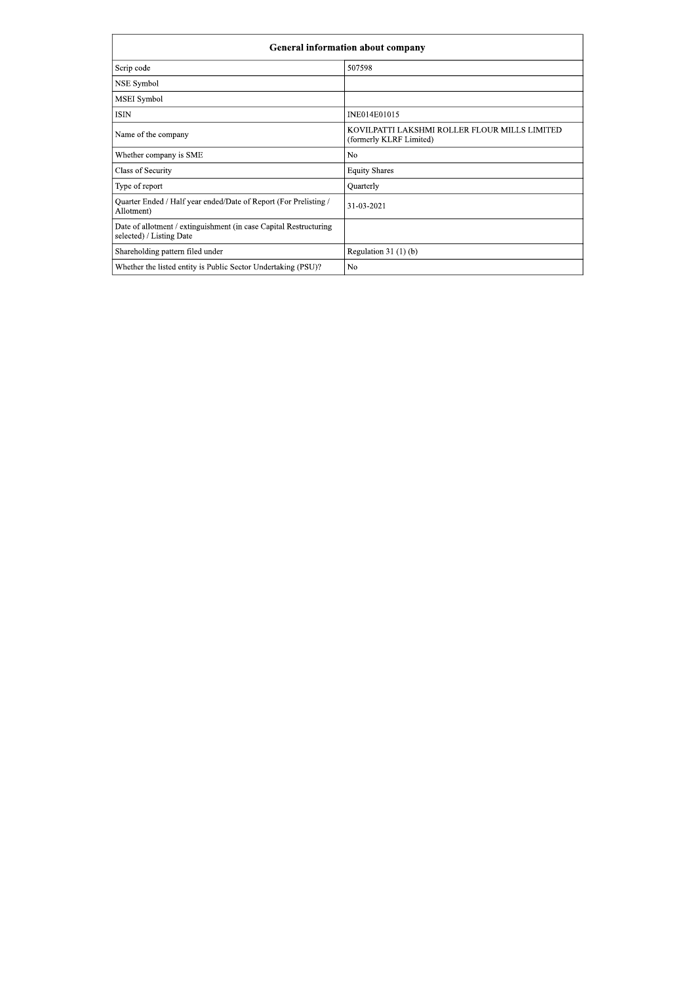|                                                                                               | <b>General information about company</b>                                 |
|-----------------------------------------------------------------------------------------------|--------------------------------------------------------------------------|
| Scrip code                                                                                    | 507598                                                                   |
| NSE Symbol                                                                                    |                                                                          |
| MSEI Symbol                                                                                   |                                                                          |
| <b>ISIN</b>                                                                                   | INE014E01015                                                             |
| Name of the company                                                                           | KOVILPATTI LAKSHMI ROLLER FLOUR MILLS LIMITED<br>(formerly KLRF Limited) |
| Whether company is SME                                                                        | N <sub>0</sub>                                                           |
| Class of Security                                                                             | <b>Equity Shares</b>                                                     |
| Type of report                                                                                | Quarterly                                                                |
| Quarter Ended / Half year ended/Date of Report (For Prelisting /<br>Allotment)                | 31-03-2021                                                               |
| Date of allotment / extinguishment (in case Capital Restructuring<br>selected) / Listing Date |                                                                          |
| Shareholding pattern filed under                                                              | Regulation $31(1)(b)$                                                    |
| Whether the listed entity is Public Sector Undertaking (PSU)?                                 | N <sub>o</sub>                                                           |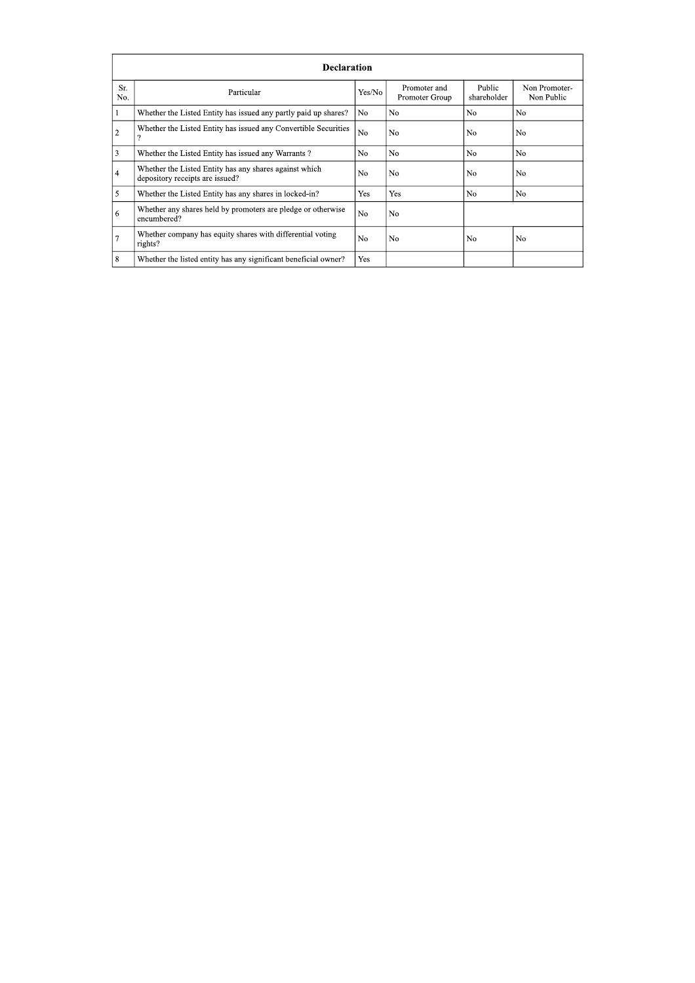|                | <b>Declaration</b>                                                                        |                |                                |                       |                             |  |  |  |  |  |  |  |  |
|----------------|-------------------------------------------------------------------------------------------|----------------|--------------------------------|-----------------------|-----------------------------|--|--|--|--|--|--|--|--|
| Sr.<br>No.     | Particular                                                                                | Yes/No         | Promoter and<br>Promoter Group | Public<br>shareholder | Non Promoter-<br>Non Public |  |  |  |  |  |  |  |  |
| -1             | Whether the Listed Entity has issued any partly paid up shares?                           | No             | N <sub>0</sub>                 | N <sub>0</sub>        | N <sub>0</sub>              |  |  |  |  |  |  |  |  |
| $\overline{2}$ | Whether the Listed Entity has issued any Convertible Securities                           | N <sub>0</sub> | N <sub>0</sub>                 | N <sub>0</sub>        | No.                         |  |  |  |  |  |  |  |  |
| 3              | Whether the Listed Entity has issued any Warrants?                                        | N <sub>0</sub> | N <sub>0</sub>                 | N <sub>0</sub>        | N <sub>0</sub>              |  |  |  |  |  |  |  |  |
| 4              | Whether the Listed Entity has any shares against which<br>depository receipts are issued? | No             | No                             | No                    | No.                         |  |  |  |  |  |  |  |  |
| 5              | Whether the Listed Entity has any shares in locked-in?                                    | Yes            | <b>Yes</b>                     | N <sub>0</sub>        | N <sub>0</sub>              |  |  |  |  |  |  |  |  |
| 6              | Whether any shares held by promoters are pledge or otherwise<br>encumbered?               | N <sub>0</sub> | N <sub>0</sub>                 |                       |                             |  |  |  |  |  |  |  |  |
| $\overline{7}$ | Whether company has equity shares with differential voting<br>rights?                     | N <sub>0</sub> | N <sub>0</sub>                 | N <sub>0</sub>        | N <sub>0</sub>              |  |  |  |  |  |  |  |  |
| 8              | Whether the listed entity has any significant beneficial owner?                           | Yes            |                                |                       |                             |  |  |  |  |  |  |  |  |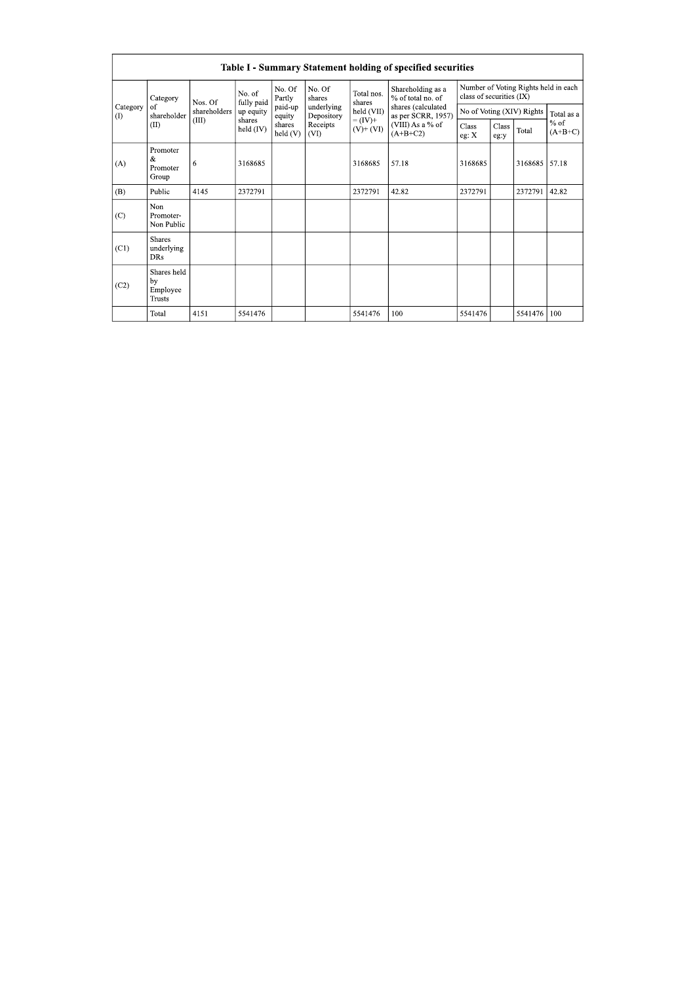|                 |                                                |                                  |                       |                      |                          |                                                                 | Table I - Summary Statement holding of specified securities                |                           |               |                                      |                     |
|-----------------|------------------------------------------------|----------------------------------|-----------------------|----------------------|--------------------------|-----------------------------------------------------------------|----------------------------------------------------------------------------|---------------------------|---------------|--------------------------------------|---------------------|
|                 | Category<br>of<br>shareholder<br>(II)          | Nos. Of<br>shareholders<br>(III) | No. of<br>fully paid  | No. Of<br>Partly     | No. Of<br>shares         | Total nos.<br>shares<br>held (VII)<br>$-(IV)^{+}$<br>$(V)+(VI)$ | Shareholding as a<br>% of total no. of                                     | class of securities (IX)  |               | Number of Voting Rights held in each |                     |
| Category<br>(1) |                                                |                                  | up equity             | paid-up<br>equity    | underlying<br>Depository |                                                                 | shares (calculated<br>as per SCRR, 1957)<br>(VIII) As a % of<br>$(A+B+C2)$ | No of Voting (XIV) Rights |               |                                      | Total as a          |
|                 |                                                |                                  | shares<br>held $(IV)$ | shares<br>held $(V)$ | Receipts<br>(VI)         |                                                                 |                                                                            | Class<br>eg: X            | Class<br>eg:y | Total                                | $%$ of<br>$(A+B+C)$ |
| (A)             | Promoter<br>&<br>Promoter<br>Group             | 6                                | 3168685               |                      |                          | 3168685                                                         | 57.18                                                                      | 3168685                   |               | 3168685                              | 57.18               |
| (B)             | Public                                         | 4145                             | 2372791               |                      |                          | 2372791                                                         | 42.82                                                                      | 2372791                   |               | 2372791                              | 42.82               |
| (C)             | Non<br>Promoter-<br>Non Public                 |                                  |                       |                      |                          |                                                                 |                                                                            |                           |               |                                      |                     |
| (C1)            | <b>Shares</b><br>underlying<br><b>DRs</b>      |                                  |                       |                      |                          |                                                                 |                                                                            |                           |               |                                      |                     |
| (C2)            | Shares held<br>by<br>Employee<br><b>Trusts</b> |                                  |                       |                      |                          |                                                                 |                                                                            |                           |               |                                      |                     |
|                 | Total                                          | 4151                             | 5541476               |                      |                          | 5541476                                                         | 100                                                                        | 5541476                   |               | 5541476                              | 100                 |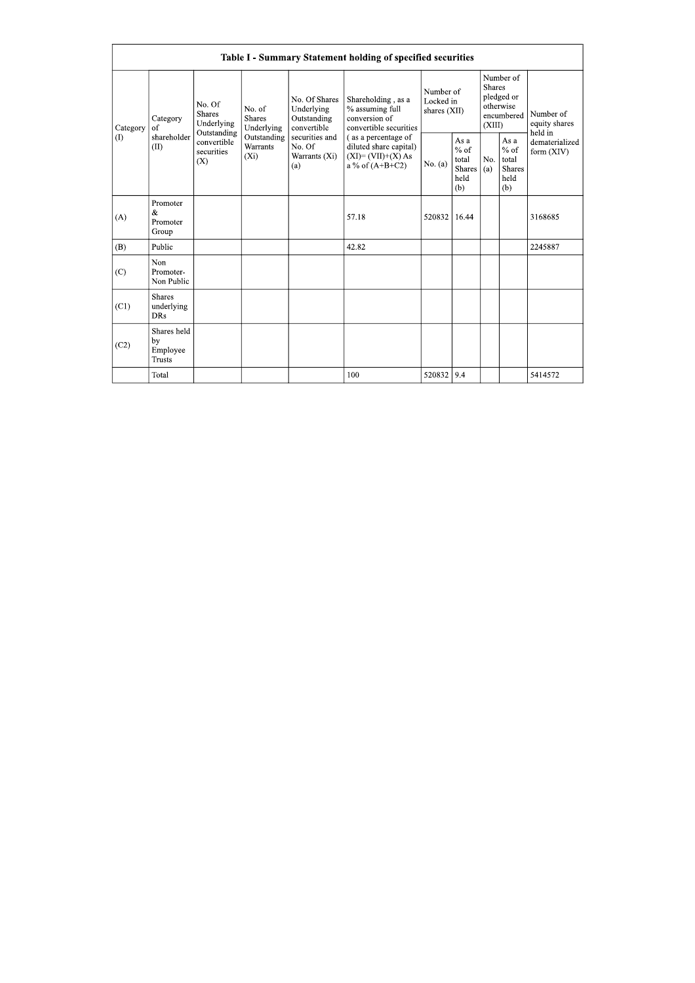|                 | Table I - Summary Statement holding of specified securities |                                                      |                                       |                                                           |                                                                                             |                                          |                                                         |                                                                               |                                                         |                                       |  |  |  |
|-----------------|-------------------------------------------------------------|------------------------------------------------------|---------------------------------------|-----------------------------------------------------------|---------------------------------------------------------------------------------------------|------------------------------------------|---------------------------------------------------------|-------------------------------------------------------------------------------|---------------------------------------------------------|---------------------------------------|--|--|--|
| Category<br>(1) | Category<br>of<br>shareholder<br>(II)                       | No. Of<br><b>Shares</b><br>Underlying<br>Outstanding | No. of<br><b>Shares</b><br>Underlying | No. Of Shares<br>Underlying<br>Outstanding<br>convertible | Shareholding, as a<br>% assuming full<br>conversion of<br>convertible securities            | Number of<br>Locked in<br>shares $(XII)$ |                                                         | Number of<br><b>Shares</b><br>pledged or<br>otherwise<br>encumbered<br>(XIII) |                                                         | Number of<br>equity shares<br>held in |  |  |  |
|                 |                                                             | convertible<br>securities<br>(X)                     | Outstanding<br>Warrants<br>$(X_i)$    | securities and<br>No. Of<br>Warrants (Xi)<br>(a)          | (as a percentage of<br>diluted share capital)<br>$(XI) = (VII)+(X) As$<br>a % of $(A+B+C2)$ | No. (a)                                  | As a<br>$%$ of<br>total<br><b>Shares</b><br>held<br>(b) | No.<br>(a)                                                                    | As a<br>$%$ of<br>total<br><b>Shares</b><br>held<br>(b) | dematerialized<br>form $(XIV)$        |  |  |  |
| (A)             | Promoter<br>&<br>Promoter<br>Group                          |                                                      |                                       |                                                           | 57.18                                                                                       | 520832                                   | 16.44                                                   |                                                                               |                                                         | 3168685                               |  |  |  |
| (B)             | Public                                                      |                                                      |                                       |                                                           | 42.82                                                                                       |                                          |                                                         |                                                                               |                                                         | 2245887                               |  |  |  |
| (C)             | Non<br>Promoter-<br>Non Public                              |                                                      |                                       |                                                           |                                                                                             |                                          |                                                         |                                                                               |                                                         |                                       |  |  |  |
| (C1)            | <b>Shares</b><br>underlying<br><b>DRs</b>                   |                                                      |                                       |                                                           |                                                                                             |                                          |                                                         |                                                                               |                                                         |                                       |  |  |  |
| (C2)            | Shares held<br>by<br>Employee<br><b>Trusts</b>              |                                                      |                                       |                                                           |                                                                                             |                                          |                                                         |                                                                               |                                                         |                                       |  |  |  |
|                 | Total                                                       |                                                      |                                       |                                                           | 100                                                                                         | 520832 9.4                               |                                                         |                                                                               |                                                         | 5414572                               |  |  |  |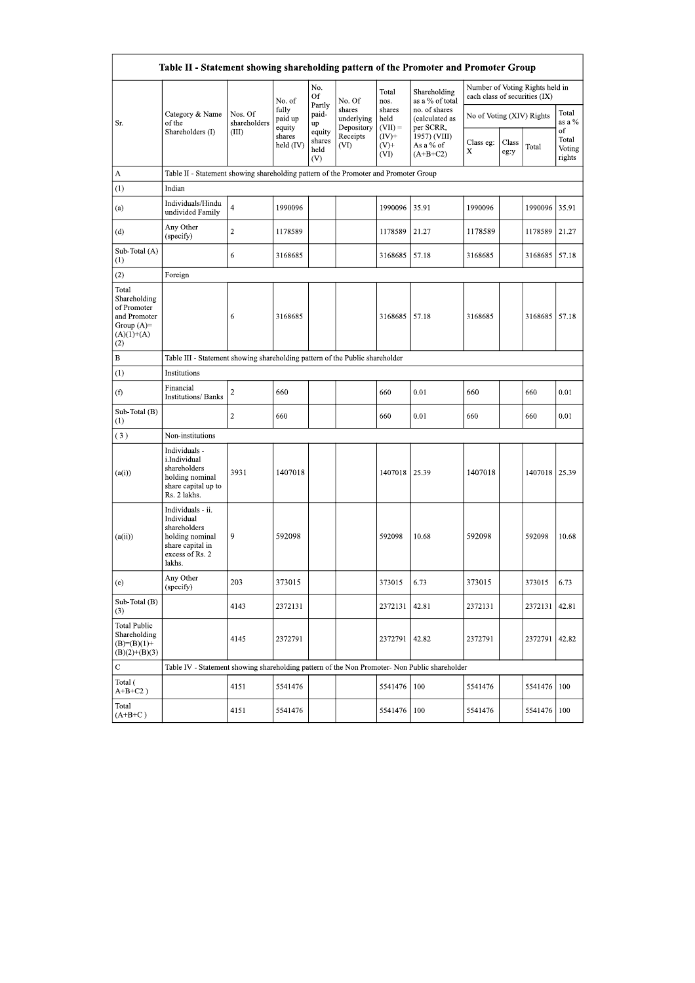|                                                                                             | Table II - Statement showing shareholding pattern of the Promoter and Promoter Group                                |                         |                               |                                 |                                |                                         |                                                      |                                                                  |               |               |                                 |  |
|---------------------------------------------------------------------------------------------|---------------------------------------------------------------------------------------------------------------------|-------------------------|-------------------------------|---------------------------------|--------------------------------|-----------------------------------------|------------------------------------------------------|------------------------------------------------------------------|---------------|---------------|---------------------------------|--|
|                                                                                             |                                                                                                                     | Nos. Of<br>shareholders | No. of<br>fully<br>paid up    | No.<br>Of                       |                                | Total                                   | Shareholding                                         | Number of Voting Rights held in<br>each class of securities (IX) |               |               |                                 |  |
| Sr.                                                                                         | Category & Name<br>of the                                                                                           |                         |                               | Partly<br>paid-<br>up           | No. Of<br>shares<br>underlying | nos.<br>shares<br>held                  | as a % of total<br>no. of shares<br>(calculated as   | No of Voting (XIV) Rights                                        |               |               | Total<br>as a %                 |  |
|                                                                                             | Shareholders (I)                                                                                                    | (III)                   | equity<br>shares<br>held (IV) | equity<br>shares<br>held<br>(V) | Depository<br>Receipts<br>(VI) | $(VII) =$<br>$(IV)+$<br>$(V)$ +<br>(VI) | per SCRR,<br>1957) (VIII)<br>As a % of<br>$(A+B+C2)$ | Class eg:<br>Х                                                   | Class<br>eg:y | Total         | of<br>Total<br>Voting<br>rights |  |
| A                                                                                           | Table II - Statement showing shareholding pattern of the Promoter and Promoter Group                                |                         |                               |                                 |                                |                                         |                                                      |                                                                  |               |               |                                 |  |
| (1)                                                                                         | Indian                                                                                                              |                         |                               |                                 |                                |                                         |                                                      |                                                                  |               |               |                                 |  |
| (a)                                                                                         | Individuals/Hindu<br>undivided Family                                                                               | $\overline{4}$          | 1990096                       |                                 |                                | 1990096                                 | 35.91                                                | 1990096                                                          |               | 1990096 35.91 |                                 |  |
| (d)                                                                                         | Any Other<br>(specify)                                                                                              | $\overline{2}$          | 1178589                       |                                 |                                | 1178589                                 | 21.27                                                | 1178589                                                          |               | 1178589       | 21.27                           |  |
| Sub-Total (A)<br>(1)                                                                        |                                                                                                                     | 6                       | 3168685                       |                                 |                                | 3168685                                 | 57.18                                                | 3168685                                                          |               | 3168685 57.18 |                                 |  |
| (2)                                                                                         | Foreign                                                                                                             |                         |                               |                                 |                                |                                         |                                                      |                                                                  |               |               |                                 |  |
| Total<br>Shareholding<br>of Promoter<br>and Promoter<br>Group $(A)=$<br>$(A)(1)+(A)$<br>(2) |                                                                                                                     | 6                       | 3168685                       |                                 |                                | 3168685                                 | 57.18                                                | 3168685                                                          |               | 3168685 57.18 |                                 |  |
| $\, {\bf B}$                                                                                | Table III - Statement showing shareholding pattern of the Public shareholder                                        |                         |                               |                                 |                                |                                         |                                                      |                                                                  |               |               |                                 |  |
| (1)                                                                                         | Institutions                                                                                                        |                         |                               |                                 |                                |                                         |                                                      |                                                                  |               |               |                                 |  |
| (f)                                                                                         | Financial<br>Institutions/ Banks                                                                                    | $\overline{c}$          | 660                           |                                 |                                | 660                                     | 0.01                                                 | 660                                                              |               | 660           | 0.01                            |  |
| Sub-Total (B)<br>(1)                                                                        |                                                                                                                     | $\overline{2}$          | 660                           |                                 |                                | 660                                     | 0.01                                                 | 660                                                              |               | 660           | 0.01                            |  |
| (3)                                                                                         | Non-institutions                                                                                                    |                         |                               |                                 |                                |                                         |                                                      |                                                                  |               |               |                                 |  |
| (a(i))                                                                                      | Individuals -<br>i.Individual<br>shareholders<br>holding nominal<br>share capital up to<br>Rs. 2 lakhs.             | 3931                    | 1407018                       |                                 |                                | 1407018                                 | 25.39                                                | 1407018                                                          |               | 1407018 25.39 |                                 |  |
| (a(ii))                                                                                     | Individuals - ii.<br>Individual<br>shareholders<br>holding nominal<br>share capital in<br>excess of Rs. 2<br>lakhs. | $ 9\rangle$             | 592098                        |                                 |                                | 592098                                  | 10.68                                                | 592098                                                           |               | 592098 10.68  |                                 |  |
| (e)                                                                                         | Any Other<br>(specify)                                                                                              | 203                     | 373015                        |                                 |                                | 373015                                  | 6.73                                                 | 373015                                                           |               | 373015        | 6.73                            |  |
| Sub-Total (B)<br>(3)                                                                        |                                                                                                                     | 4143                    | 2372131                       |                                 |                                | 2372131                                 | 42.81                                                | 2372131                                                          |               | 2372131       | 42.81                           |  |
| Total Public<br>Shareholding<br>$(B)=(B)(1)+$<br>$(B)(2)+(B)(3)$                            |                                                                                                                     | 4145                    | 2372791                       |                                 |                                | 2372791                                 | 42.82                                                | 2372791                                                          |               | 2372791       | 42.82                           |  |
| $\mathbf C$                                                                                 | Table IV - Statement showing shareholding pattern of the Non Promoter- Non Public shareholder                       |                         |                               |                                 |                                |                                         |                                                      |                                                                  |               |               |                                 |  |
| Total (<br>$A+B+C2$ )                                                                       |                                                                                                                     | 4151                    | 5541476                       |                                 |                                | 5541476                                 | 100                                                  | 5541476                                                          |               | 5541476 100   |                                 |  |
| Total                                                                                       |                                                                                                                     | 4151                    | 5541476                       |                                 |                                | 5541476                                 | 100                                                  | 5541476                                                          |               | 5541476 100   |                                 |  |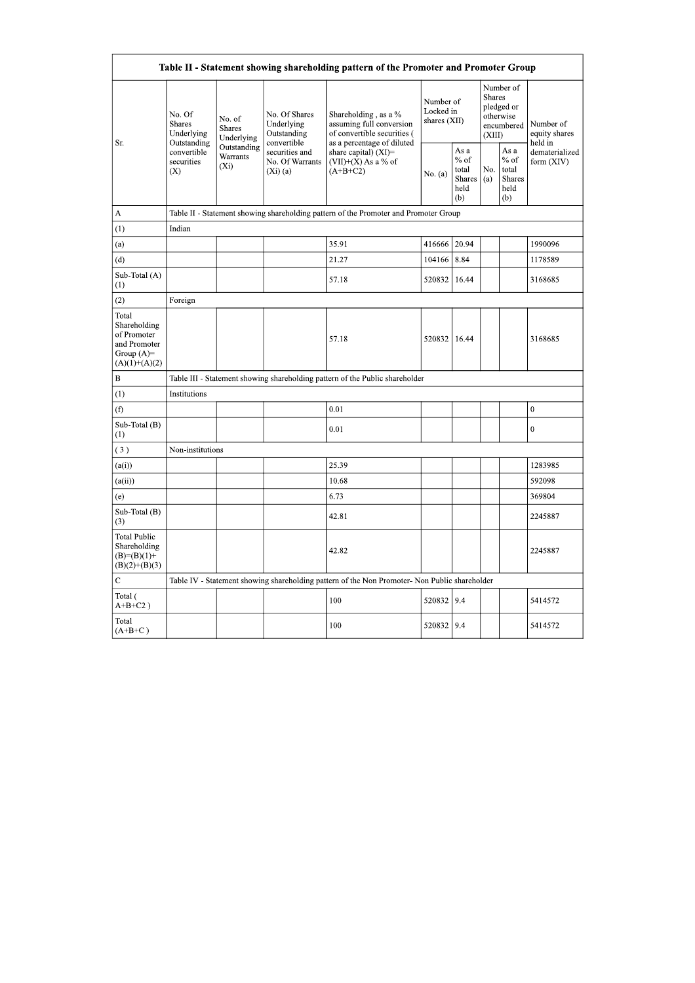| Table II - Statement showing shareholding pattern of the Promoter and Promoter Group    |                                                                                      |                                       |                                                                |                                                                                               |                                          |                                                         |                  |                                                    |                                       |  |  |  |  |
|-----------------------------------------------------------------------------------------|--------------------------------------------------------------------------------------|---------------------------------------|----------------------------------------------------------------|-----------------------------------------------------------------------------------------------|------------------------------------------|---------------------------------------------------------|------------------|----------------------------------------------------|---------------------------------------|--|--|--|--|
|                                                                                         | No. Of<br><b>Shares</b><br>Underlying<br>Outstanding                                 | No. of<br><b>Shares</b><br>Underlying | No. Of Shares<br>Underlying<br>Outstanding                     | Shareholding, as a %<br>assuming full conversion<br>of convertible securities (               | Number of<br>Locked in<br>shares $(XII)$ |                                                         | Shares<br>(XIII) | Number of<br>pledged or<br>otherwise<br>encumbered | Number of<br>equity shares<br>held in |  |  |  |  |
| Sr.                                                                                     | convertible<br>securities<br>(X)                                                     | Outstanding<br>Warrants<br>$(X_i)$    | convertible<br>securities and<br>No. Of Warrants<br>$(Xi)$ (a) | as a percentage of diluted<br>share capital) (XI)=<br>$(VII)+(X)$ As a % of<br>$(A+B+C2)$     | No. (a)                                  | As a<br>$%$ of<br>total<br><b>Shares</b><br>held<br>(b) | No.<br>(a)       | As a<br>$%$ of<br>total<br>Shares<br>held<br>(b)   | dematerialized<br>form (XIV)          |  |  |  |  |
| A                                                                                       | Table II - Statement showing shareholding pattern of the Promoter and Promoter Group |                                       |                                                                |                                                                                               |                                          |                                                         |                  |                                                    |                                       |  |  |  |  |
| (1)                                                                                     | Indian                                                                               |                                       |                                                                |                                                                                               |                                          |                                                         |                  |                                                    |                                       |  |  |  |  |
| (a)                                                                                     |                                                                                      |                                       |                                                                | 35.91                                                                                         | 416666                                   | 20.94                                                   |                  |                                                    | 1990096                               |  |  |  |  |
| (d)                                                                                     |                                                                                      |                                       |                                                                | 21.27                                                                                         | 104166                                   | 8.84                                                    |                  |                                                    | 1178589                               |  |  |  |  |
| Sub-Total (A)<br>(1)                                                                    |                                                                                      |                                       |                                                                | 57.18                                                                                         | 520832                                   | 16.44                                                   |                  |                                                    | 3168685                               |  |  |  |  |
| (2)                                                                                     | Foreign                                                                              |                                       |                                                                |                                                                                               |                                          |                                                         |                  |                                                    |                                       |  |  |  |  |
| Total<br>Shareholding<br>of Promoter<br>and Promoter<br>Group $(A)=$<br>$(A)(1)+(A)(2)$ |                                                                                      |                                       |                                                                | 57.18                                                                                         | 520832                                   | 16.44                                                   |                  |                                                    | 3168685                               |  |  |  |  |
| $\, {\bf B}$                                                                            |                                                                                      |                                       |                                                                | Table III - Statement showing shareholding pattern of the Public shareholder                  |                                          |                                                         |                  |                                                    |                                       |  |  |  |  |
| (1)                                                                                     | Institutions                                                                         |                                       |                                                                |                                                                                               |                                          |                                                         |                  |                                                    |                                       |  |  |  |  |
| (f)                                                                                     |                                                                                      |                                       |                                                                | 0.01                                                                                          |                                          |                                                         |                  |                                                    | $\mathbf{0}$                          |  |  |  |  |
| Sub-Total (B)<br>(1)                                                                    |                                                                                      |                                       |                                                                | 0.01                                                                                          |                                          |                                                         |                  |                                                    | $\boldsymbol{0}$                      |  |  |  |  |
| (3)                                                                                     | Non-institutions                                                                     |                                       |                                                                |                                                                                               |                                          |                                                         |                  |                                                    |                                       |  |  |  |  |
| (a(i))                                                                                  |                                                                                      |                                       |                                                                | 25.39                                                                                         |                                          |                                                         |                  |                                                    | 1283985                               |  |  |  |  |
| (a(ii))                                                                                 |                                                                                      |                                       |                                                                | 10.68                                                                                         |                                          |                                                         |                  |                                                    | 592098                                |  |  |  |  |
| (e)                                                                                     |                                                                                      |                                       |                                                                | 6.73                                                                                          |                                          |                                                         |                  |                                                    | 369804                                |  |  |  |  |
| Sub-Total (B)<br>(3)                                                                    |                                                                                      |                                       |                                                                | 42.81                                                                                         |                                          |                                                         |                  |                                                    | 2245887                               |  |  |  |  |
| <b>Total Public</b><br>Shareholding<br>$(B)= (B)(1) +$<br>$(B)(2)+(B)(3)$               |                                                                                      |                                       |                                                                | 42.82                                                                                         |                                          |                                                         |                  |                                                    | 2245887                               |  |  |  |  |
| $\mathbf C$                                                                             |                                                                                      |                                       |                                                                | Table IV - Statement showing shareholding pattern of the Non Promoter- Non Public shareholder |                                          |                                                         |                  |                                                    |                                       |  |  |  |  |
| Total (<br>$A+B+C2$ )                                                                   |                                                                                      |                                       |                                                                | 100                                                                                           | 520832                                   | 9.4                                                     |                  |                                                    | 5414572                               |  |  |  |  |
| Total<br>$(A+B+C)$                                                                      |                                                                                      |                                       |                                                                | 100                                                                                           | 520832                                   | 9.4                                                     |                  |                                                    | 5414572                               |  |  |  |  |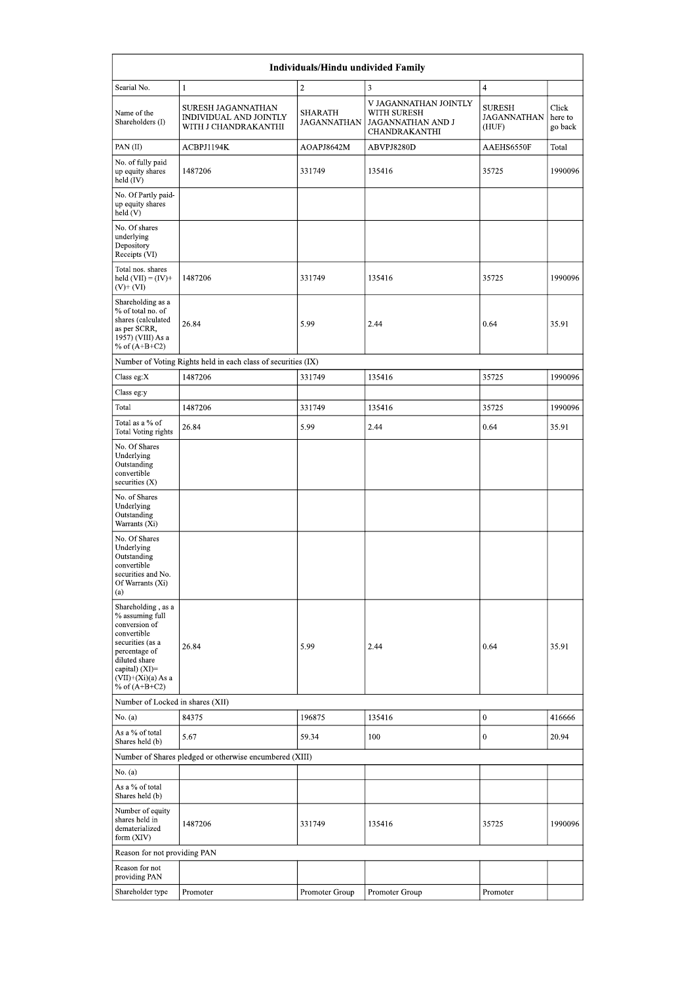| Individuals/Hindu undivided Family                                                                                                                                                       |                                                                             |                                      |                                                                            |                                              |                             |  |  |  |  |  |  |  |
|------------------------------------------------------------------------------------------------------------------------------------------------------------------------------------------|-----------------------------------------------------------------------------|--------------------------------------|----------------------------------------------------------------------------|----------------------------------------------|-----------------------------|--|--|--|--|--|--|--|
| Searial No.                                                                                                                                                                              | $\mathbf{1}$                                                                | $\overline{c}$                       | 3                                                                          | $\overline{4}$                               |                             |  |  |  |  |  |  |  |
| Name of the<br>Shareholders (I)                                                                                                                                                          | SURESH JAGANNATHAN<br><b>INDIVIDUAL AND JOINTLY</b><br>WITH J CHANDRAKANTHI | <b>SHARATH</b><br><b>JAGANNATHAN</b> | V JAGANNATHAN JOINTLY<br>WITH SURESH<br>JAGANNATHAN AND J<br>CHANDRAKANTHI | <b>SURESH</b><br><b>JAGANNATHAN</b><br>(HUF) | Click<br>here to<br>go back |  |  |  |  |  |  |  |
| PAN(II)                                                                                                                                                                                  | ACBPJ1194K                                                                  | AOAPJ8642M                           | ABVPJ8280D                                                                 | AAEHS6550F                                   | Total                       |  |  |  |  |  |  |  |
| No. of fully paid<br>up equity shares<br>held (IV)                                                                                                                                       | 1487206                                                                     | 331749                               | 135416                                                                     | 35725                                        | 1990096                     |  |  |  |  |  |  |  |
| No. Of Partly paid-<br>up equity shares<br>held (V)                                                                                                                                      |                                                                             |                                      |                                                                            |                                              |                             |  |  |  |  |  |  |  |
| No. Of shares<br>underlying<br>Depository<br>Receipts (VI)                                                                                                                               |                                                                             |                                      |                                                                            |                                              |                             |  |  |  |  |  |  |  |
| Total nos. shares<br>held $(VII) = (IV) +$<br>$(V)$ + $(VI)$                                                                                                                             | 1487206                                                                     | 331749                               | 135416                                                                     | 35725                                        | 1990096                     |  |  |  |  |  |  |  |
| Shareholding as a<br>% of total no. of<br>shares (calculated<br>as per SCRR,<br>1957) (VIII) As a<br>% of $(A+B+C2)$                                                                     | 26.84                                                                       | 5.99                                 | 2.44                                                                       | 0.64                                         | 35.91                       |  |  |  |  |  |  |  |
|                                                                                                                                                                                          | Number of Voting Rights held in each class of securities (IX)               |                                      |                                                                            |                                              |                             |  |  |  |  |  |  |  |
| Class eg:X                                                                                                                                                                               | 1487206                                                                     | 331749                               | 135416                                                                     | 35725                                        | 1990096                     |  |  |  |  |  |  |  |
| Class eg:y                                                                                                                                                                               |                                                                             |                                      |                                                                            |                                              |                             |  |  |  |  |  |  |  |
| Total                                                                                                                                                                                    | 1487206                                                                     | 331749                               | 135416                                                                     | 35725                                        | 1990096                     |  |  |  |  |  |  |  |
| Total as a % of<br>Total Voting rights                                                                                                                                                   | 26.84                                                                       | 5.99                                 | 2.44                                                                       | 0.64                                         | 35.91                       |  |  |  |  |  |  |  |
| No. Of Shares<br>Underlying<br>Outstanding<br>convertible<br>securities $(X)$                                                                                                            |                                                                             |                                      |                                                                            |                                              |                             |  |  |  |  |  |  |  |
| No. of Shares<br>Underlying<br>Outstanding<br>Warrants (Xi)                                                                                                                              |                                                                             |                                      |                                                                            |                                              |                             |  |  |  |  |  |  |  |
| No. Of Shares<br>Underlying<br>Outstanding<br>convertible<br>securities and No.<br>Of Warrants (Xi)<br>(a)                                                                               |                                                                             |                                      |                                                                            |                                              |                             |  |  |  |  |  |  |  |
| Shareholding, as a<br>% assuming full<br>conversion of<br>convertible<br>securities (as a<br>percentage of<br>diluted share<br>capital) (XI)=<br>$(VII)+(Xi)(a) As a$<br>% of $(A+B+C2)$ | 26.84                                                                       | 5.99                                 | 2.44                                                                       | 0.64                                         | 35.91                       |  |  |  |  |  |  |  |
| Number of Locked in shares (XII)                                                                                                                                                         |                                                                             |                                      |                                                                            |                                              |                             |  |  |  |  |  |  |  |
| No. (a)                                                                                                                                                                                  | 84375                                                                       | 196875                               | 135416                                                                     | $\boldsymbol{0}$                             | 416666                      |  |  |  |  |  |  |  |
| As a % of total<br>Shares held (b)                                                                                                                                                       | 5.67<br>Number of Shares pledged or otherwise encumbered (XIII)             | 59.34                                | 100                                                                        | $\boldsymbol{0}$                             | 20.94                       |  |  |  |  |  |  |  |
| No. (a)                                                                                                                                                                                  |                                                                             |                                      |                                                                            |                                              |                             |  |  |  |  |  |  |  |
| As a % of total<br>Shares held (b)                                                                                                                                                       |                                                                             |                                      |                                                                            |                                              |                             |  |  |  |  |  |  |  |
| Number of equity<br>shares held in<br>dematerialized<br>form (XIV)                                                                                                                       | 1487206                                                                     | 331749                               | 135416                                                                     | 35725                                        | 1990096                     |  |  |  |  |  |  |  |
| Reason for not providing PAN                                                                                                                                                             |                                                                             |                                      |                                                                            |                                              |                             |  |  |  |  |  |  |  |
| Reason for not<br>providing PAN                                                                                                                                                          |                                                                             |                                      |                                                                            |                                              |                             |  |  |  |  |  |  |  |
| Shareholder type                                                                                                                                                                         | Promoter                                                                    | Promoter Group                       | Promoter Group                                                             | Promoter                                     |                             |  |  |  |  |  |  |  |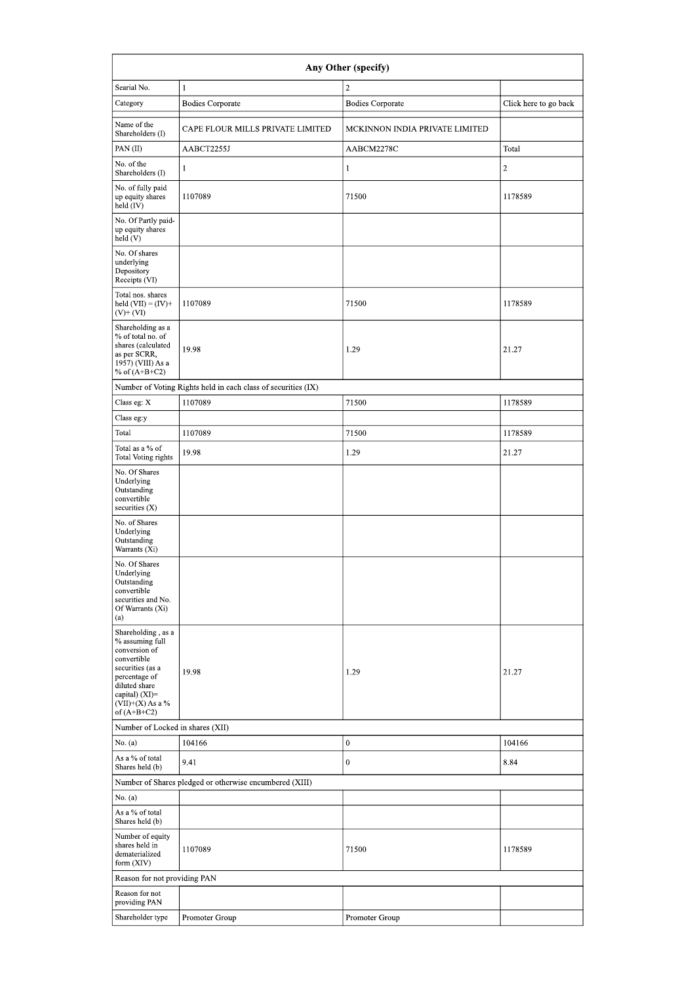| Any Other (specify)                                                                                                                                                                  |                                                               |                                |                       |  |  |  |  |  |  |  |  |
|--------------------------------------------------------------------------------------------------------------------------------------------------------------------------------------|---------------------------------------------------------------|--------------------------------|-----------------------|--|--|--|--|--|--|--|--|
| Searial No.                                                                                                                                                                          | 1                                                             | $\overline{2}$                 |                       |  |  |  |  |  |  |  |  |
| Category                                                                                                                                                                             | <b>Bodies Corporate</b>                                       | <b>Bodies Corporate</b>        | Click here to go back |  |  |  |  |  |  |  |  |
| Name of the<br>Shareholders (I)                                                                                                                                                      | CAPE FLOUR MILLS PRIVATE LIMITED                              | MCKINNON INDIA PRIVATE LIMITED |                       |  |  |  |  |  |  |  |  |
| PAN (II)                                                                                                                                                                             | AABCT2255J                                                    | AABCM2278C                     | Total                 |  |  |  |  |  |  |  |  |
| No. of the<br>Shareholders (I)                                                                                                                                                       | 1                                                             | 1                              | $\overline{c}$        |  |  |  |  |  |  |  |  |
| No. of fully paid<br>up equity shares<br>held (IV)                                                                                                                                   | 1107089                                                       | 71500                          | 1178589               |  |  |  |  |  |  |  |  |
| No. Of Partly paid-<br>up equity shares<br>held(V)                                                                                                                                   |                                                               |                                |                       |  |  |  |  |  |  |  |  |
| No. Of shares<br>underlying<br>Depository<br>Receipts (VI)                                                                                                                           |                                                               |                                |                       |  |  |  |  |  |  |  |  |
| Total nos. shares<br>held $(VII) = (IV) +$<br>$(V)$ + $(VI)$                                                                                                                         | 1107089                                                       | 71500                          | 1178589               |  |  |  |  |  |  |  |  |
| Shareholding as a<br>% of total no. of<br>shares (calculated<br>as per SCRR,<br>1957) (VIII) As a<br>% of $(A+B+C2)$                                                                 | 19.98                                                         | 1.29                           | 21.27                 |  |  |  |  |  |  |  |  |
|                                                                                                                                                                                      | Number of Voting Rights held in each class of securities (IX) |                                |                       |  |  |  |  |  |  |  |  |
| Class eg: X                                                                                                                                                                          | 1107089                                                       | 71500                          | 1178589               |  |  |  |  |  |  |  |  |
| Class eg:y                                                                                                                                                                           |                                                               |                                |                       |  |  |  |  |  |  |  |  |
| Total                                                                                                                                                                                | 1107089                                                       | 71500                          | 1178589               |  |  |  |  |  |  |  |  |
| Total as a % of<br>Total Voting rights                                                                                                                                               | 19.98                                                         | 1.29                           | 21.27                 |  |  |  |  |  |  |  |  |
| No. Of Shares<br>Underlying<br>Outstanding<br>convertible<br>securities (X)                                                                                                          |                                                               |                                |                       |  |  |  |  |  |  |  |  |
| No. of Shares<br>Underlying<br>Outstanding<br>Warrants (Xi)                                                                                                                          |                                                               |                                |                       |  |  |  |  |  |  |  |  |
| No. Of Shares<br>Underlying<br>Outstanding<br>convertible<br>securities and No.<br>Of Warrants (Xi)<br>(a)                                                                           |                                                               |                                |                       |  |  |  |  |  |  |  |  |
| Shareholding, as a<br>% assuming full<br>conversion of<br>convertible<br>securities (as a<br>percentage of<br>diluted share<br>capital) (XI)=<br>$(VII)+(X)$ As a %<br>of $(A+B+C2)$ | 19.98                                                         | 1.29                           | 21.27                 |  |  |  |  |  |  |  |  |
| Number of Locked in shares (XII)                                                                                                                                                     |                                                               |                                |                       |  |  |  |  |  |  |  |  |
| No. (a)                                                                                                                                                                              | 104166                                                        | $\boldsymbol{0}$               | 104166                |  |  |  |  |  |  |  |  |
| As a % of total<br>Shares held (b)                                                                                                                                                   | 9.41                                                          | $\mathbf{0}$                   | 8.84                  |  |  |  |  |  |  |  |  |
|                                                                                                                                                                                      | Number of Shares pledged or otherwise encumbered (XIII)       |                                |                       |  |  |  |  |  |  |  |  |
| No. (a)                                                                                                                                                                              |                                                               |                                |                       |  |  |  |  |  |  |  |  |
| As a % of total<br>Shares held (b)                                                                                                                                                   |                                                               |                                |                       |  |  |  |  |  |  |  |  |
| Number of equity<br>shares held in<br>dematerialized<br>form (XIV)                                                                                                                   | 1107089                                                       | 71500                          | 1178589               |  |  |  |  |  |  |  |  |
| Reason for not providing PAN                                                                                                                                                         |                                                               |                                |                       |  |  |  |  |  |  |  |  |
| Reason for not<br>providing PAN                                                                                                                                                      |                                                               |                                |                       |  |  |  |  |  |  |  |  |
| Shareholder type                                                                                                                                                                     | Promoter Group                                                | Promoter Group                 |                       |  |  |  |  |  |  |  |  |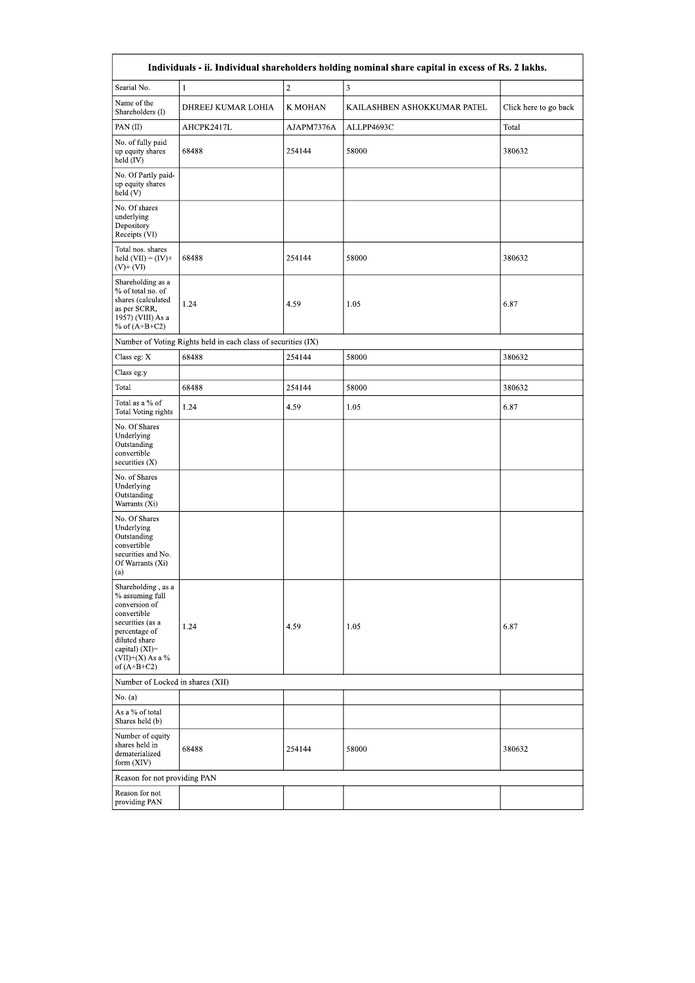| Individuals - ii. Individual shareholders holding nominal share capital in excess of Rs. 2 lakhs.                                                                                    |                                                               |            |                             |                       |  |  |  |  |  |  |  |  |
|--------------------------------------------------------------------------------------------------------------------------------------------------------------------------------------|---------------------------------------------------------------|------------|-----------------------------|-----------------------|--|--|--|--|--|--|--|--|
| Searial No.                                                                                                                                                                          | $\mathbf{1}$                                                  | $\sqrt{2}$ | 3                           |                       |  |  |  |  |  |  |  |  |
| Name of the<br>Shareholders (I)                                                                                                                                                      | DHREEJ KUMAR LOHIA                                            | K MOHAN    | KAILASHBEN ASHOKKUMAR PATEL | Click here to go back |  |  |  |  |  |  |  |  |
| PAN(II)                                                                                                                                                                              | AHCPK2417L                                                    | AJAPM7376A | ALLPP4693C                  | Total                 |  |  |  |  |  |  |  |  |
| No. of fully paid<br>up equity shares<br>held (IV)                                                                                                                                   | 68488                                                         | 254144     | 58000                       | 380632                |  |  |  |  |  |  |  |  |
| No. Of Partly paid-<br>up equity shares<br>held (V)                                                                                                                                  |                                                               |            |                             |                       |  |  |  |  |  |  |  |  |
| No. Of shares<br>underlying<br>Depository<br>Receipts (VI)                                                                                                                           |                                                               |            |                             |                       |  |  |  |  |  |  |  |  |
| Total nos. shares<br>held $(VII) = (IV) +$<br>$(V)$ + $(VI)$                                                                                                                         | 68488                                                         | 254144     | 58000                       | 380632                |  |  |  |  |  |  |  |  |
| Shareholding as a<br>% of total no. of<br>shares (calculated<br>as per SCRR,<br>1957) (VIII) As a<br>% of $(A+B+C2)$                                                                 | 1.24                                                          | 4.59       | 1.05                        | 6.87                  |  |  |  |  |  |  |  |  |
|                                                                                                                                                                                      | Number of Voting Rights held in each class of securities (IX) |            |                             |                       |  |  |  |  |  |  |  |  |
| Class eg: X                                                                                                                                                                          | 68488                                                         | 254144     | 58000                       | 380632                |  |  |  |  |  |  |  |  |
| Class eg:y                                                                                                                                                                           |                                                               |            |                             |                       |  |  |  |  |  |  |  |  |
| Total                                                                                                                                                                                | 68488                                                         | 254144     | 58000                       | 380632                |  |  |  |  |  |  |  |  |
| Total as a % of<br>Total Voting rights                                                                                                                                               | 1.24                                                          | 4.59       | 1.05                        | 6.87                  |  |  |  |  |  |  |  |  |
| No. Of Shares<br>Underlying<br>Outstanding<br>convertible<br>securities (X)                                                                                                          |                                                               |            |                             |                       |  |  |  |  |  |  |  |  |
| No. of Shares<br>Underlying<br>Outstanding<br>Warrants (Xi)                                                                                                                          |                                                               |            |                             |                       |  |  |  |  |  |  |  |  |
| No. Of Shares<br>Underlying<br>Outstanding<br>convertible<br>securities and No.<br>Of Warrants (Xi)<br>(a)                                                                           |                                                               |            |                             |                       |  |  |  |  |  |  |  |  |
| Shareholding, as a<br>% assuming full<br>conversion of<br>convertible<br>securities (as a<br>percentage of<br>diluted share<br>capital) (XI)=<br>$(VII)+(X)$ As a %<br>of $(A+B+C2)$ | 1.24                                                          | 4.59       | 1.05                        | 6.87                  |  |  |  |  |  |  |  |  |
| Number of Locked in shares (XII)                                                                                                                                                     |                                                               |            |                             |                       |  |  |  |  |  |  |  |  |
| No. (a)                                                                                                                                                                              |                                                               |            |                             |                       |  |  |  |  |  |  |  |  |
| As a % of total<br>Shares held (b)                                                                                                                                                   |                                                               |            |                             |                       |  |  |  |  |  |  |  |  |
| Number of equity<br>shares held in<br>dematerialized<br>form (XIV)                                                                                                                   | 68488                                                         | 254144     | 58000                       | 380632                |  |  |  |  |  |  |  |  |
| Reason for not providing PAN                                                                                                                                                         |                                                               |            |                             |                       |  |  |  |  |  |  |  |  |
| Reason for not<br>providing PAN                                                                                                                                                      |                                                               |            |                             |                       |  |  |  |  |  |  |  |  |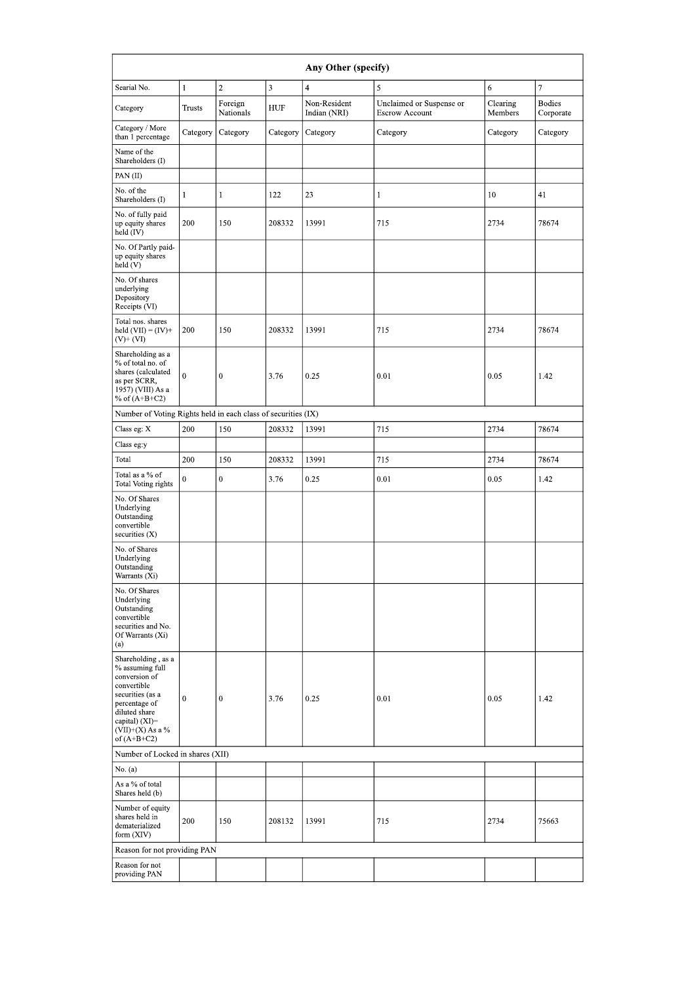| Any Other (specify)                                                                                                                                                                  |               |                      |            |                              |                                                   |                     |                            |  |  |  |  |  |
|--------------------------------------------------------------------------------------------------------------------------------------------------------------------------------------|---------------|----------------------|------------|------------------------------|---------------------------------------------------|---------------------|----------------------------|--|--|--|--|--|
| Searial No.                                                                                                                                                                          | $\mathbf{1}$  | $\sqrt{2}$           | 3          | $\overline{4}$               | 5                                                 | $\sqrt{6}$          | 7                          |  |  |  |  |  |
| Category                                                                                                                                                                             | <b>Trusts</b> | Foreign<br>Nationals | <b>HUF</b> | Non-Resident<br>Indian (NRI) | Unclaimed or Suspense or<br><b>Escrow Account</b> | Clearing<br>Members | <b>Bodies</b><br>Corporate |  |  |  |  |  |
| Category / More<br>than 1 percentage                                                                                                                                                 | Category      | Category             | Category   | Category                     | Category                                          | Category            | Category                   |  |  |  |  |  |
| Name of the<br>Shareholders (I)                                                                                                                                                      |               |                      |            |                              |                                                   |                     |                            |  |  |  |  |  |
| PAN(II)                                                                                                                                                                              |               |                      |            |                              |                                                   |                     |                            |  |  |  |  |  |
| No. of the<br>Shareholders (I)                                                                                                                                                       | $\mathbf{1}$  | $\mathbf{1}$         | 122        | 23                           | $\mathbf{1}$                                      | 10                  | 41                         |  |  |  |  |  |
| No. of fully paid<br>up equity shares<br>held (IV)                                                                                                                                   | 200           | 150                  | 208332     | 13991                        | 715                                               | 2734                | 78674                      |  |  |  |  |  |
| No. Of Partly paid-<br>up equity shares<br>held (V)                                                                                                                                  |               |                      |            |                              |                                                   |                     |                            |  |  |  |  |  |
| No. Of shares<br>underlying<br>Depository<br>Receipts (VI)                                                                                                                           |               |                      |            |                              |                                                   |                     |                            |  |  |  |  |  |
| Total nos. shares<br>held $(VII) = (IV) +$<br>$(V)$ + $(VI)$                                                                                                                         | 200           | 150                  | 208332     | 13991                        | 715                                               | 2734                | 78674                      |  |  |  |  |  |
| Shareholding as a<br>% of total no. of<br>shares (calculated<br>as per SCRR,<br>1957) (VIII) As a<br>% of $(A+B+C2)$                                                                 | $\mathbf{0}$  | $\bf{0}$             | 3.76       | 0.25                         | 0.01                                              | 0.05                | 1.42                       |  |  |  |  |  |
| Number of Voting Rights held in each class of securities (IX)                                                                                                                        |               |                      |            |                              |                                                   |                     |                            |  |  |  |  |  |
| Class eg: X                                                                                                                                                                          | 200           | 150                  | 208332     | 13991                        | 715                                               | 2734                | 78674                      |  |  |  |  |  |
| Class eg:y                                                                                                                                                                           |               |                      |            |                              |                                                   |                     |                            |  |  |  |  |  |
| Total                                                                                                                                                                                | 200           | 150                  | 208332     | 13991                        | 715                                               | 2734                | 78674                      |  |  |  |  |  |
| Total as a % of<br>Total Voting rights                                                                                                                                               | $\mathbf{0}$  | $\mathbf{0}$         | 3.76       | 0.25                         | 0.01                                              | 0.05                | 1.42                       |  |  |  |  |  |
| No. Of Shares<br>Underlying<br>Outstanding<br>convertible<br>securities $(X)$                                                                                                        |               |                      |            |                              |                                                   |                     |                            |  |  |  |  |  |
| No. of Shares<br>Underlying<br>Outstanding<br>Warrants (Xi)                                                                                                                          |               |                      |            |                              |                                                   |                     |                            |  |  |  |  |  |
| No. Of Shares<br>Underlying<br>Outstanding<br>convertible<br>securities and No.<br>Of Warrants (Xi)<br>(a)                                                                           |               |                      |            |                              |                                                   |                     |                            |  |  |  |  |  |
| Shareholding, as a<br>% assuming full<br>conversion of<br>convertible<br>securities (as a<br>percentage of<br>diluted share<br>capital) (XI)=<br>$(VII)+(X)$ As a %<br>of $(A+B+C2)$ | $\mathbf{0}$  | $\boldsymbol{0}$     | 3.76       | 0.25                         | 0.01                                              | 0.05                | 1.42                       |  |  |  |  |  |
| Number of Locked in shares (XII)                                                                                                                                                     |               |                      |            |                              |                                                   |                     |                            |  |  |  |  |  |
| No. (a)                                                                                                                                                                              |               |                      |            |                              |                                                   |                     |                            |  |  |  |  |  |
| As a % of total<br>Shares held (b)                                                                                                                                                   |               |                      |            |                              |                                                   |                     |                            |  |  |  |  |  |
| Number of equity<br>shares held in<br>dematerialized<br>form (XIV)                                                                                                                   | 200           | 150                  | 208132     | 13991                        | 715                                               | 2734                | 75663                      |  |  |  |  |  |
| Reason for not providing PAN                                                                                                                                                         |               |                      |            |                              |                                                   |                     |                            |  |  |  |  |  |
| Reason for not<br>providing PAN                                                                                                                                                      |               |                      |            |                              |                                                   |                     |                            |  |  |  |  |  |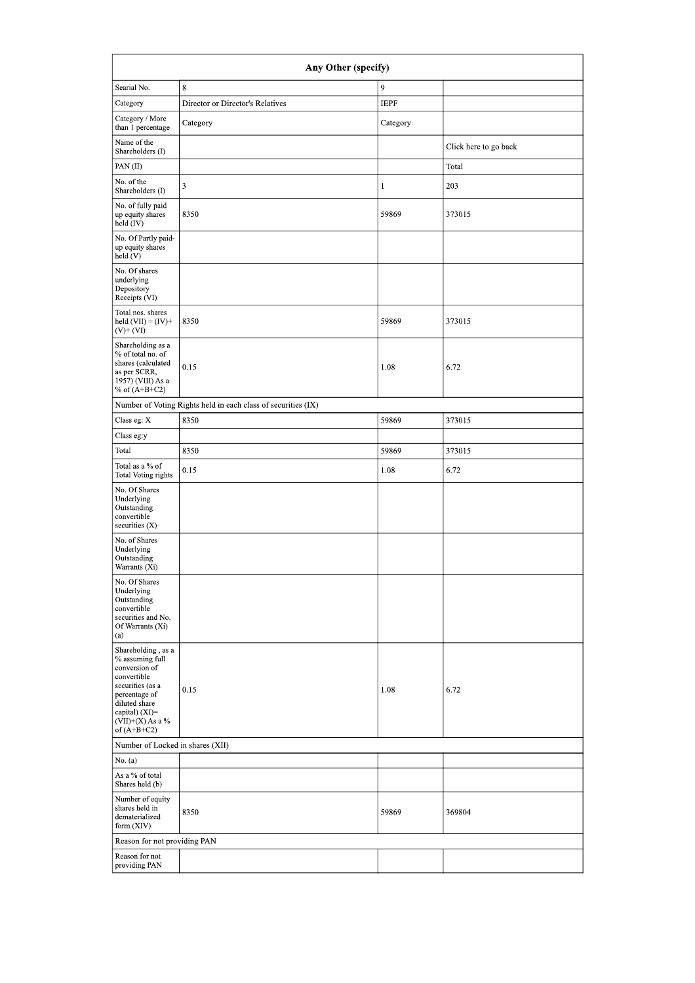|                                                                                                                                                                                      | Any Other (specify)                                           |              |                       |
|--------------------------------------------------------------------------------------------------------------------------------------------------------------------------------------|---------------------------------------------------------------|--------------|-----------------------|
| Searial No.                                                                                                                                                                          | $\,$ 8 $\,$                                                   | 9            |                       |
| Category                                                                                                                                                                             | Director or Director's Relatives                              | <b>IEPF</b>  |                       |
| Category / More<br>than 1 percentage                                                                                                                                                 | Category                                                      | Category     |                       |
| Name of the<br>Shareholders (I)                                                                                                                                                      |                                                               |              | Click here to go back |
| PAN(II)                                                                                                                                                                              |                                                               |              | Total                 |
| No. of the<br>Shareholders (I)                                                                                                                                                       | 3                                                             | $\mathbf{1}$ | 203                   |
| No. of fully paid<br>up equity shares<br>held (IV)                                                                                                                                   | 8350                                                          | 59869        | 373015                |
| No. Of Partly paid-<br>up equity shares<br>held (V)                                                                                                                                  |                                                               |              |                       |
| No. Of shares<br>underlying<br>Depository<br>Receipts (VI)                                                                                                                           |                                                               |              |                       |
| Total nos. shares<br>held $(VII) = (IV) +$<br>$(V)$ + $(VI)$                                                                                                                         | 8350                                                          | 59869        | 373015                |
| Shareholding as a<br>% of total no. of<br>shares (calculated<br>as per SCRR,<br>1957) (VIII) As a<br>% of $(A+B+C2)$                                                                 | 0.15                                                          | 1.08         | 6.72                  |
|                                                                                                                                                                                      | Number of Voting Rights held in each class of securities (IX) |              |                       |
| Class eg: X                                                                                                                                                                          | 8350                                                          | 59869        | 373015                |
| Class eg:y                                                                                                                                                                           |                                                               |              |                       |
| Total                                                                                                                                                                                | 8350                                                          | 59869        | 373015                |
| Total as a % of<br>Total Voting rights                                                                                                                                               | 0.15                                                          | 1.08         | 6.72                  |
| No. Of Shares<br>Underlying<br>Outstanding<br>convertible<br>securities $(X)$                                                                                                        |                                                               |              |                       |
| No. of Shares<br>Underlying<br>Outstanding<br>Warrants (Xi)                                                                                                                          |                                                               |              |                       |
| No. Of Shares<br>Underlying<br>Outstanding<br>convertible<br>securities and No.<br>Of Warrants (Xi)<br>(a)                                                                           |                                                               |              |                       |
| Shareholding, as a<br>% assuming full<br>conversion of<br>convertible<br>securities (as a<br>percentage of<br>diluted share<br>capital) (XI)=<br>$(VII)+(X)$ As a %<br>of $(A+B+C2)$ | 0.15                                                          | 1.08         | 6.72                  |
| Number of Locked in shares (XII)                                                                                                                                                     |                                                               |              |                       |
| No. (a)                                                                                                                                                                              |                                                               |              |                       |
| As a % of total<br>Shares held (b)                                                                                                                                                   |                                                               |              |                       |
| Number of equity<br>shares held in<br>dematerialized<br>form (XIV)                                                                                                                   | 8350                                                          | 59869        | 369804                |
| Reason for not providing PAN                                                                                                                                                         |                                                               |              |                       |
| Reason for not<br>providing PAN                                                                                                                                                      |                                                               |              |                       |